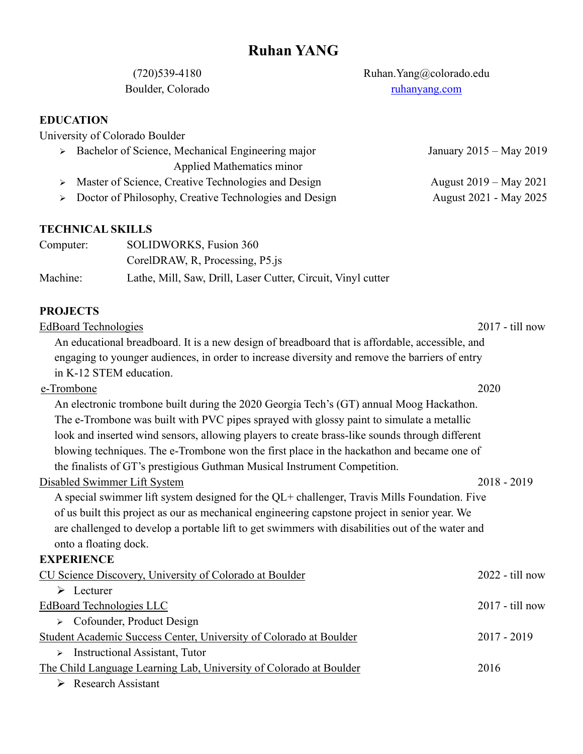(720)539-4180 Ruhan.Yang@colorado.edu Boulder, Colorado <ruhanyang.com>

**EDUCATION** 

University of Colorado Boulder

➢ Bachelor of Science, Mechanical Engineering major Applied Mathematics minor January 2015 – May 2019 > Master of Science, Creative Technologies and Design August 2019 – May 2021

▶ Dotor of Philosophy, Creative Technologies and Design  August 2021 - May 2025

# **TECHNICAL SKILLS**

| Computer: | SOLIDWORKS, Fusion 360                                       |
|-----------|--------------------------------------------------------------|
|           | CorelDRAW, R, Processing, P5.js                              |
| Machine:  | Lathe, Mill, Saw, Drill, Laser Cutter, Circuit, Vinyl cutter |

# **PROJECTS**

[EdBoard Technologies](https://ruhanyang.com/edboard/) 2017 - till now An educational breadboard. It is a new design of breadboard that is affordable, accessible, and engaging to younger audiences, in order to increase diversity and remove the barriers of entry in K-12 STEM education. [e-Trombone](https://ruhanyang.com/etrombone/) 2020

An electronic trombone built during the 2020 Georgia Tech's (GT) annual Moog Hackathon. The e-Trombone was built with PVC pipes sprayed with glossy paint to simulate a metallic look and inserted wind sensors, allowing players to create brass-like sounds through different blowing techniques. The e-Trombone won the first place in the hackathon and became one of the finalists of GT's prestigious Guthman Musical Instrument Competition.

### [Disabled Swimmer Lift System](https://ruhanyang.com/disabled-swimmer-lift-system/) 2018 - 2019

A special swimmer lift system designed for the QL+ challenger, Travis Mills Foundation. Five of us built this project as our as mechanical engineering capstone project in senior year. We are challenged to develop a portable lift to get swimmers with disabilities out of the water and onto a floating dock.

### **EXPERIENCE**

| CU Science Discovery, University of Colorado at Boulder            | $2022 -$ till now |
|--------------------------------------------------------------------|-------------------|
| Lecturer<br>➤                                                      |                   |
| EdBoard Technologies LLC                                           | $2017 -$ till now |
| Cofounder, Product Design<br>$\blacktriangleright$                 |                   |
| Student Academic Success Center, University of Colorado at Boulder | $2017 - 2019$     |
| <b>Instructional Assistant, Tutor</b><br>↘                         |                   |
| The Child Language Learning Lab, University of Colorado at Boulder | 2016              |
| <b>Research Assistant</b>                                          |                   |